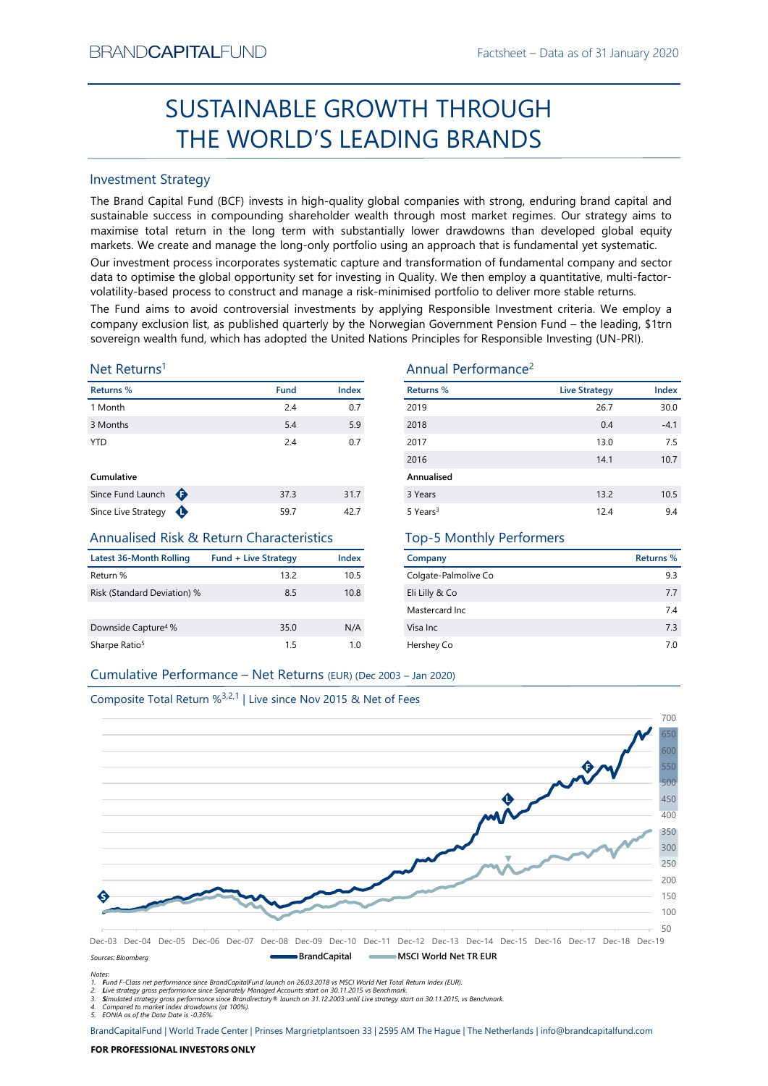# Factsheet – Data as of 31 January 2020 SUSTAINABLE GROWTH THROUGH THE WORLD'S LEADING BRANDS

# Investment Strategy

From NDCAFTIALIFUND<br>
Factstheet – Last as of 31 January 2020<br>
SUSTAINABLE GROWTH THROUGH<br>
THE WORLD'S LEADING BRANDS<br>
Investment Strategy<br>
The Brand Capital Fund IdEGF invests in high-quality global companies with strong, SUSTAINABLE GROWTH THROUGH<br>
THE WORLD'S LEADING BRANDS<br>
Investment Strategy<br>
IThe Brand Gapital Fund (8CF) invests in high-quality global companies with strong, enduring brand capital and<br>
sustainable success in componing BRAND**CAPITAL**FUND<br> **SUSTAINABLE GROWTH THROUGH**<br> **THE WORLD'S LEADING BRANDS**<br>
Investment Strategy<br>
The Brand Capital Fund (BCF) invests in high-quality global companies with strong, enduring brand capital and<br>
purstainab BRAND**CAPITAL**FUND<br>
Factsheet – Data as of 31 January 2020<br> **SUSTAINABLE GROWTH THROUGH**<br> **THE WORLD'S LEADING BRANDS**<br>
Investment Strategy<br>
The Brand Capital Fund (BCF) invests in high-quality global companies with strong EXANDCAPITALFUND<br>
Factsheet – Data as of 31 January 2020<br>
SUSTAINABLE GROWTH THROUGH<br>
THE WORLD'S LEADING BRANDS<br>
Investment Strategy<br>
Inte Brand Capital Fund (BCF) invests in high-quality global companies with strong, end BRAND**CAPITAL**FUND<br>
SUSTAINABLE GROWTH THROUGH<br>
THE WORLD'S LEADING BRANDS<br>
Investment Strategy<br>
Investment Strategy<br>
Investment Strategy<br>
Investment Strategy<br>
Investment Strategy<br>
The Brand Capital Fund (BCF) invests in h BRAND**CAPITAL**FUND<br>
Factsheet – Data as of 31 January 2020<br>
SUSTAINABLE GROWTH THROUGH<br>
THE WORLD'S LEADING BRANDS<br>
Investment Strategy<br>
Investment Strategy<br>
Investment Strategy<br>
Investment Strategy<br>
and Captal company in BRAND**CAPITAL**FUND<br>
SUSTAINABLE GROWTH THROUGH<br>
THE WORLD'S LEADING BRANDS<br>
Investment Strategy<br>
The Brand Capital Fund (BCF) invests in high-quality global companies with strong, enduring brand capital and<br>
The Brand Capi BRANDCAPITALFUND<br>
SUSTAINABLE GROWTH THROUGH<br>
THE WORLD'S LEADING BRANDS<br>
Investment Strategy<br>
The Brand Capital Fund (BCF) invests in high-quality global companies with strong, enduring brand capital and<br>
sustainable succ BRANDCAPITALFUND<br>
SUSTAINABLE GROWTH THROUGH<br>
THE WORLD'S LEADING BRANDS<br>
Investment Strategy<br>
Investment Strategy<br>
Investment Strategy<br>
Investment Strategy<br>
Investment Strategy<br>
Altan Gaptial Fund (GCF) invests in high-qu **EXAMDCAPITALFUND**<br> **COSTAINABLE GROWTH THROUGH**<br> **COSTAINABLE GROWTH THROUGH**<br> **COSTAINABLE FORDING BRANDS**<br>
Investment Strategy<br>
The Brand Capital Fund (BCF) invests in high-quality global companies with strong, endurin BRANDCAPITALFUND<br>
SUSTAINABLE GROWTH THROUGH<br>
THE WORLD'S LEADING BRANDS<br>
Investment Strategy<br>
Investment Strategy<br>
Investment Strategy<br>
Investment Strategy<br>
Sustainable success in compounding shareholder wealth funoupl m

# Net Returns1

| Returns %         |                  | <b>Fund</b> | <b>Index</b> |
|-------------------|------------------|-------------|--------------|
| 1 Month           |                  | 2.4         | 0.7          |
| 3 Months          |                  | 5.4         | 5.9          |
| <b>YTD</b>        |                  | 2.4         | 0.7          |
| Cumulative        |                  |             |              |
| Since Fund Launch | ⊕                | 37.3        | 31.7         |
|                   | $\blacktriangle$ |             |              |

# Annualised Risk & Return Characteristics

| Latest 36-Month Rolling         | <b>Fund + Live Strategy</b> | Index |
|---------------------------------|-----------------------------|-------|
| Return %                        | 13.2                        | 10.5  |
| Risk (Standard Deviation) %     | 8.5                         | 10.8  |
|                                 |                             |       |
| Downside Capture <sup>4</sup> % | 35.0                        | N/A   |
| Sharpe Ratio <sup>5</sup>       | 15                          | 1 O   |

# Annual Performance2

| BRANU <b>UAPHAL</b> FUND                                                      |                             |                      |                                                                                                                                                                                                                                                                                                                                                                                                                                                                                                                                                                                                                                                                                                                                                                                                                                                                                                                    | Hactsheet – Data as of 31 January 2020 |           |
|-------------------------------------------------------------------------------|-----------------------------|----------------------|--------------------------------------------------------------------------------------------------------------------------------------------------------------------------------------------------------------------------------------------------------------------------------------------------------------------------------------------------------------------------------------------------------------------------------------------------------------------------------------------------------------------------------------------------------------------------------------------------------------------------------------------------------------------------------------------------------------------------------------------------------------------------------------------------------------------------------------------------------------------------------------------------------------------|----------------------------------------|-----------|
|                                                                               |                             |                      | SUSTAINABLE GROWTH THROUGH                                                                                                                                                                                                                                                                                                                                                                                                                                                                                                                                                                                                                                                                                                                                                                                                                                                                                         |                                        |           |
|                                                                               |                             |                      | THE WORLD'S LEADING BRANDS                                                                                                                                                                                                                                                                                                                                                                                                                                                                                                                                                                                                                                                                                                                                                                                                                                                                                         |                                        |           |
| <b>Investment Strategy</b>                                                    |                             |                      |                                                                                                                                                                                                                                                                                                                                                                                                                                                                                                                                                                                                                                                                                                                                                                                                                                                                                                                    |                                        |           |
|                                                                               |                             |                      | The Brand Capital Fund (BCF) invests in high-quality global companies with strong, enduring brand capital and<br>sustainable success in compounding shareholder wealth through most market regimes. Our strategy aims to<br>maximise total return in the long term with substantially lower drawdowns than developed global equity<br>markets. We create and manage the long-only portfolio using an approach that is fundamental yet systematic.<br>Our investment process incorporates systematic capture and transformation of fundamental company and sector<br>data to optimise the global opportunity set for investing in Quality. We then employ a quantitative, multi-factor-<br>volatility-based process to construct and manage a risk-minimised portfolio to deliver more stable returns.<br>The Fund aims to avoid controversial investments by applying Responsible Investment criteria. We employ a |                                        |           |
| Net Returns <sup>1</sup>                                                      |                             |                      | company exclusion list, as published quarterly by the Norwegian Government Pension Fund - the leading, \$1trn<br>sovereign wealth fund, which has adopted the United Nations Principles for Responsible Investing (UN-PRI).<br>Annual Performance <sup>2</sup>                                                                                                                                                                                                                                                                                                                                                                                                                                                                                                                                                                                                                                                     |                                        |           |
| Returns %                                                                     |                             | Index<br><b>Fund</b> | <b>Returns %</b>                                                                                                                                                                                                                                                                                                                                                                                                                                                                                                                                                                                                                                                                                                                                                                                                                                                                                                   | <b>Live Strategy</b>                   | Index     |
| 1 Month                                                                       |                             | 2.4                  | 0.7<br>2019                                                                                                                                                                                                                                                                                                                                                                                                                                                                                                                                                                                                                                                                                                                                                                                                                                                                                                        | 26.7                                   | 30.0      |
| 3 Months                                                                      |                             | 5.4                  | 5.9<br>2018                                                                                                                                                                                                                                                                                                                                                                                                                                                                                                                                                                                                                                                                                                                                                                                                                                                                                                        | 0.4                                    | $-4.1$    |
| <b>YTD</b>                                                                    |                             | 2.4                  | 0.7<br>2017                                                                                                                                                                                                                                                                                                                                                                                                                                                                                                                                                                                                                                                                                                                                                                                                                                                                                                        | 13.0                                   | 7.5       |
|                                                                               |                             |                      | 2016                                                                                                                                                                                                                                                                                                                                                                                                                                                                                                                                                                                                                                                                                                                                                                                                                                                                                                               | 14.1                                   | 10.7      |
| Cumulative                                                                    |                             |                      | Annualised                                                                                                                                                                                                                                                                                                                                                                                                                                                                                                                                                                                                                                                                                                                                                                                                                                                                                                         |                                        |           |
| Since Fund Launch $\bigoplus$                                                 |                             | 37.3<br>31.7         | 3 Years                                                                                                                                                                                                                                                                                                                                                                                                                                                                                                                                                                                                                                                                                                                                                                                                                                                                                                            | 13.2                                   | 10.5      |
| Since Live Strategy $\bigoplus$                                               |                             | 59.7<br>42.7         | 5 Years <sup>3</sup>                                                                                                                                                                                                                                                                                                                                                                                                                                                                                                                                                                                                                                                                                                                                                                                                                                                                                               | 12.4                                   | 9.4       |
| <b>Annualised Risk &amp; Return Characteristics</b>                           |                             |                      | <b>Top-5 Monthly Performers</b>                                                                                                                                                                                                                                                                                                                                                                                                                                                                                                                                                                                                                                                                                                                                                                                                                                                                                    |                                        |           |
| Latest 36-Month Rolling                                                       | <b>Fund + Live Strategy</b> | <b>Index</b>         | Company                                                                                                                                                                                                                                                                                                                                                                                                                                                                                                                                                                                                                                                                                                                                                                                                                                                                                                            |                                        | Returns % |
| Return %                                                                      |                             | 10.5<br>13.2         | Colgate-Palmolive Co                                                                                                                                                                                                                                                                                                                                                                                                                                                                                                                                                                                                                                                                                                                                                                                                                                                                                               |                                        | 9.3       |
| Risk (Standard Deviation) %                                                   |                             | 8.5<br>10.8          | Eli Lilly & Co                                                                                                                                                                                                                                                                                                                                                                                                                                                                                                                                                                                                                                                                                                                                                                                                                                                                                                     |                                        | 7.7       |
|                                                                               |                             |                      | Mastercard Inc                                                                                                                                                                                                                                                                                                                                                                                                                                                                                                                                                                                                                                                                                                                                                                                                                                                                                                     |                                        | 7.4       |
| Downside Capture <sup>4</sup> %                                               |                             | 35.0<br>N/A          | Visa Inc                                                                                                                                                                                                                                                                                                                                                                                                                                                                                                                                                                                                                                                                                                                                                                                                                                                                                                           |                                        | 7.3       |
| Sharpe Ratio <sup>5</sup>                                                     |                             | 1.5                  | 1.0<br>Hershey Co                                                                                                                                                                                                                                                                                                                                                                                                                                                                                                                                                                                                                                                                                                                                                                                                                                                                                                  |                                        | $7.0\,$   |
| Cumulative Performance - Net Returns (EUR) (Dec 2003 - Jan 2020)              |                             |                      |                                                                                                                                                                                                                                                                                                                                                                                                                                                                                                                                                                                                                                                                                                                                                                                                                                                                                                                    |                                        |           |
|                                                                               |                             |                      |                                                                                                                                                                                                                                                                                                                                                                                                                                                                                                                                                                                                                                                                                                                                                                                                                                                                                                                    |                                        |           |
| Composite Total Return % <sup>3,2,1</sup>   Live since Nov 2015 & Net of Fees |                             |                      |                                                                                                                                                                                                                                                                                                                                                                                                                                                                                                                                                                                                                                                                                                                                                                                                                                                                                                                    |                                        |           |
|                                                                               |                             |                      |                                                                                                                                                                                                                                                                                                                                                                                                                                                                                                                                                                                                                                                                                                                                                                                                                                                                                                                    |                                        | 700       |
|                                                                               |                             |                      |                                                                                                                                                                                                                                                                                                                                                                                                                                                                                                                                                                                                                                                                                                                                                                                                                                                                                                                    |                                        |           |
|                                                                               |                             |                      |                                                                                                                                                                                                                                                                                                                                                                                                                                                                                                                                                                                                                                                                                                                                                                                                                                                                                                                    |                                        |           |

# Top-5 Monthly Performers

| Company              | Returns % |
|----------------------|-----------|
| Colgate-Palmolive Co | 9.3       |
| Eli Lilly & Co       | 7.7       |
| Mastercard Inc.      | 7.4       |
| Visa Inc.            | 7.3       |
| Hershey Co           | 70        |



Notes:

1. Fund F-Class net performance since BrandCapitalFund launch on 26.03.2018 vs MSCI World Net Total Return Index (EUR).

2. Live strategy gross performance since Separately Managed Accounts start on 30.11.2015 vs Benchmark.<br>3. Simulated strategy gross performance since Brandirectory® launch on 31.12.2003 until Live strategy start on 30.11.20

5. EONIA as of the Data Date is -0.36%.